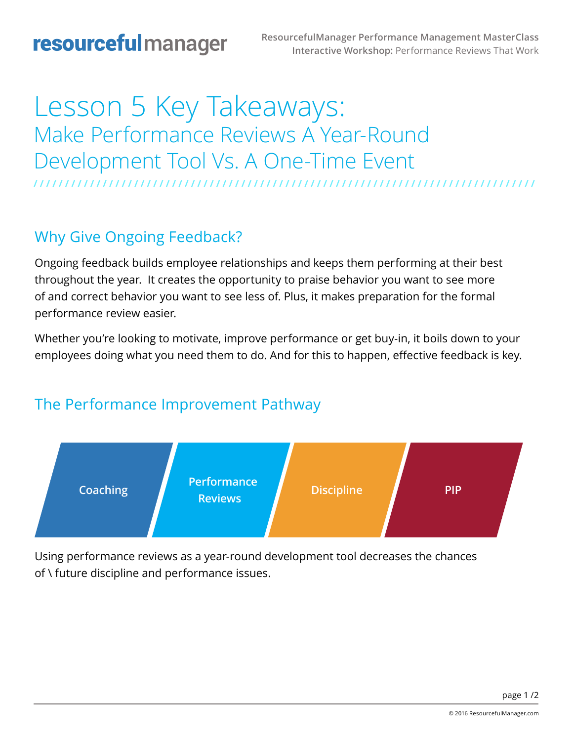# Lesson 5 Key Takeaways: Make Performance Reviews A Year-Round Development Tool Vs. A One-Time Event **/ / / / / / / / / / / / / / / / / / / / / / / / / / / / / / / / / / / / / / / / / / / / / / / / / / / / / / / / / / / / / / / / / / / / / / / / / / / / / / / /**

### Why Give Ongoing Feedback?

Ongoing feedback builds employee relationships and keeps them performing at their best throughout the year. It creates the opportunity to praise behavior you want to see more of and correct behavior you want to see less of. Plus, it makes preparation for the formal performance review easier.

Whether you're looking to motivate, improve performance or get buy-in, it boils down to your employees doing what you need them to do. And for this to happen, effective feedback is key.

#### The Performance Improvement Pathway



Using performance reviews as a year-round development tool decreases the chances of \ future discipline and performance issues.